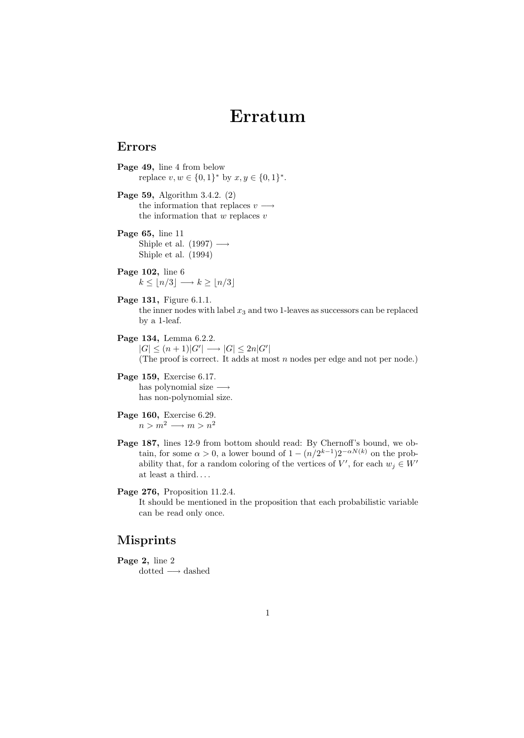## Erratum

## Errors

- Page 49, line 4 from below replace  $v, w \in \{0, 1\}^*$  by  $x, y \in \{0, 1\}^*$ .
- Page 59, Algorithm 3.4.2. (2) the information that replaces  $v \longrightarrow$ the information that  $w$  replaces  $v$
- Page 65, line 11 Shiple et al. (1997)  $\longrightarrow$ Shiple et al. (1994)
- Page 102, line 6  $k \leq |n/3| \longrightarrow k \geq |n/3|$
- Page 131, Figure 6.1.1. the inner nodes with label  $x_3$  and two 1-leaves as successors can be replaced by a 1-leaf.
- Page 134, Lemma 6.2.2.  $|G| \le (n+1)|G'| \longrightarrow |G| \le 2n|G'|$ (The proof is correct. It adds at most  $n$  nodes per edge and not per node.)
- Page 159, Exercise 6.17. has polynomial size  $\longrightarrow$ has non-polynomial size.

Page 160, Exercise 6.29.  $n > m^2 \longrightarrow m > n^2$ 

- Page 187, lines 12-9 from bottom should read: By Chernoff's bound, we obtain, for some  $\alpha > 0$ , a lower bound of  $1 - (n/2^{k-1})2^{-\alpha N(k)}$  on the probability that, for a random coloring of the vertices of V', for each  $w_j \in W'$ at least a third. . . .
- Page 276, Proposition 11.2.4. It should be mentioned in the proposition that each probabilistic variable can be read only once.

## Misprints

Page 2, line 2  $\mathrm{dotted} \longrightarrow \mathrm{dashed}$